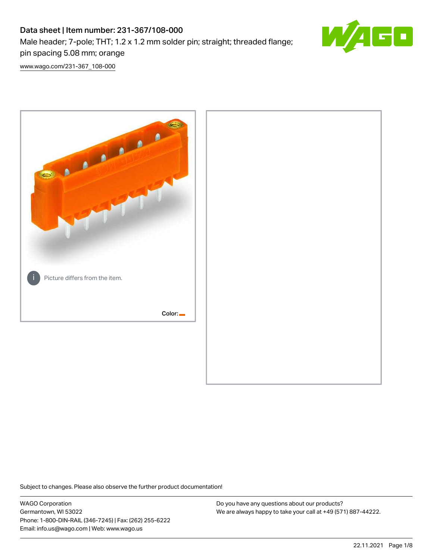# Data sheet | Item number: 231-367/108-000 Male header; 7-pole; THT; 1.2 x 1.2 mm solder pin; straight; threaded flange; pin spacing 5.08 mm; orange



[www.wago.com/231-367\\_108-000](http://www.wago.com/231-367_108-000)



Subject to changes. Please also observe the further product documentation!

WAGO Corporation Germantown, WI 53022 Phone: 1-800-DIN-RAIL (346-7245) | Fax: (262) 255-6222 Email: info.us@wago.com | Web: www.wago.us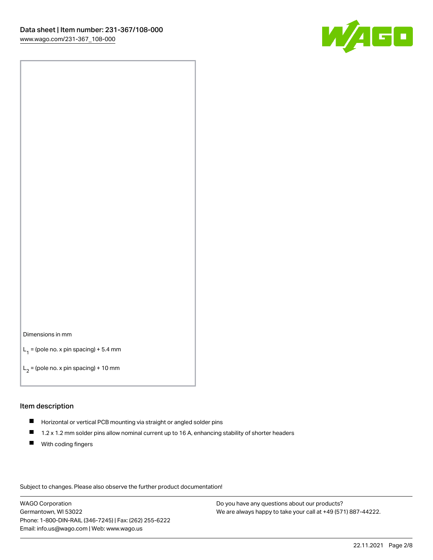

#### Dimensions in mm

 $L_1$  = (pole no. x pin spacing) + 5.4 mm

 $L_2$  = (pole no. x pin spacing) + 10 mm

#### Item description

- Horizontal or vertical PCB mounting via straight or angled solder pins
- $\blacksquare$ 1.2 x 1.2 mm solder pins allow nominal current up to 16 A, enhancing stability of shorter headers
- **With coding fingers**

Subject to changes. Please also observe the further product documentation!

WAGO Corporation Germantown, WI 53022 Phone: 1-800-DIN-RAIL (346-7245) | Fax: (262) 255-6222 Email: info.us@wago.com | Web: www.wago.us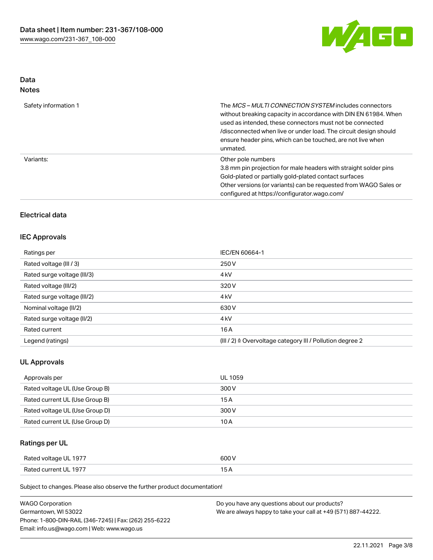

### Data Notes

| Safety information 1 | The <i>MCS – MULTI CONNECTION SYSTEM</i> includes connectors<br>without breaking capacity in accordance with DIN EN 61984. When<br>used as intended, these connectors must not be connected<br>/disconnected when live or under load. The circuit design should<br>ensure header pins, which can be touched, are not live when<br>unmated. |
|----------------------|--------------------------------------------------------------------------------------------------------------------------------------------------------------------------------------------------------------------------------------------------------------------------------------------------------------------------------------------|
| Variants:            | Other pole numbers<br>3.8 mm pin projection for male headers with straight solder pins<br>Gold-plated or partially gold-plated contact surfaces<br>Other versions (or variants) can be requested from WAGO Sales or<br>configured at https://configurator.wago.com/                                                                        |

### Electrical data

## IEC Approvals

| Ratings per                 | IEC/EN 60664-1                                            |
|-----------------------------|-----------------------------------------------------------|
| Rated voltage (III / 3)     | 250 V                                                     |
| Rated surge voltage (III/3) | 4 <sub>kV</sub>                                           |
| Rated voltage (III/2)       | 320 V                                                     |
| Rated surge voltage (III/2) | 4 <sub>kV</sub>                                           |
| Nominal voltage (II/2)      | 630 V                                                     |
| Rated surge voltage (II/2)  | 4 <sub>k</sub> V                                          |
| Rated current               | 16A                                                       |
| Legend (ratings)            | (III / 2) ≙ Overvoltage category III / Pollution degree 2 |

## UL Approvals

| Approvals per                  | UL 1059 |
|--------------------------------|---------|
| Rated voltage UL (Use Group B) | 300 V   |
| Rated current UL (Use Group B) | 15 A    |
| Rated voltage UL (Use Group D) | 300 V   |
| Rated current UL (Use Group D) | 10 A    |

## Ratings per UL

| Rated voltage UL 1977 | 600 V          |
|-----------------------|----------------|
| Rated current UL 1977 | $\overline{ }$ |

Subject to changes. Please also observe the further product documentation!

| <b>WAGO Corporation</b>                                | Do you have any questions about our products?                 |
|--------------------------------------------------------|---------------------------------------------------------------|
| Germantown, WI 53022                                   | We are always happy to take your call at +49 (571) 887-44222. |
| Phone: 1-800-DIN-RAIL (346-7245)   Fax: (262) 255-6222 |                                                               |
| Email: info.us@wago.com   Web: www.wago.us             |                                                               |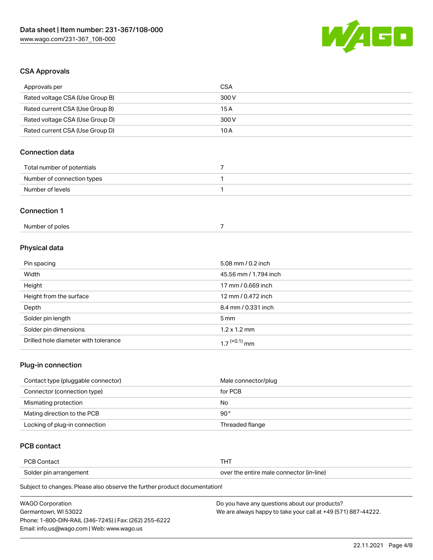

#### CSA Approvals

| Approvals per                   | <b>CSA</b> |  |
|---------------------------------|------------|--|
| Rated voltage CSA (Use Group B) | 300 V      |  |
| Rated current CSA (Use Group B) | 15A        |  |
| Rated voltage CSA (Use Group D) | 300 V      |  |
| Rated current CSA (Use Group D) | 10A        |  |
| <b>Connection data</b>          |            |  |
| Total number of potentials      | 7          |  |
| Number of connection types      |            |  |
| Number of levels                | 1          |  |
| <b>Connection 1</b>             |            |  |
| Number of poles                 | 7          |  |

### Physical data

| Pin spacing                          | 5.08 mm / $0.2$ inch     |
|--------------------------------------|--------------------------|
| Width                                | 45.56 mm / 1.794 inch    |
| Height                               | 17 mm / 0.669 inch       |
| Height from the surface              | 12 mm / 0.472 inch       |
| Depth                                | 8.4 mm / 0.331 inch      |
| Solder pin length                    | 5 mm                     |
| Solder pin dimensions                | $1.2 \times 1.2$ mm      |
| Drilled hole diameter with tolerance | 1 7 <sup>(+0.1)</sup> mm |

## Plug-in connection

| Contact type (pluggable connector) | Male connector/plug |
|------------------------------------|---------------------|
| Connector (connection type)        | for PCB             |
| Mismating protection               | No                  |
| Mating direction to the PCB        | $90^{\circ}$        |
| Locking of plug-in connection      | Threaded flange     |

#### PCB contact

| <b>PCB Contact</b>     |                                          |
|------------------------|------------------------------------------|
| Solder pin arrangement | over the entire male connector (in-line) |

Subject to changes. Please also observe the further product documentation!

| <b>WAGO Corporation</b>                                | Do you have any questions about our products?                 |
|--------------------------------------------------------|---------------------------------------------------------------|
| Germantown, WI 53022                                   | We are always happy to take your call at +49 (571) 887-44222. |
| Phone: 1-800-DIN-RAIL (346-7245)   Fax: (262) 255-6222 |                                                               |
| Email: info.us@wago.com   Web: www.wago.us             |                                                               |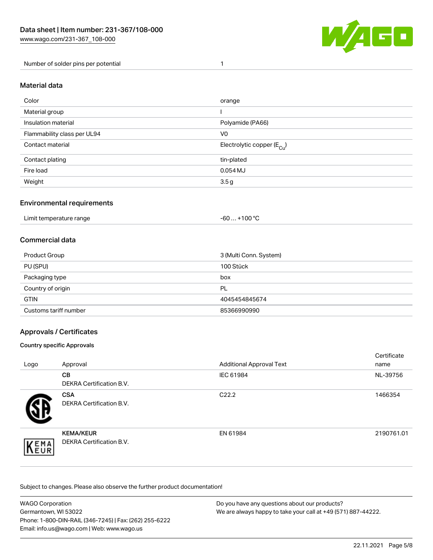

Number of solder pins per potential 1

## Material data

| Color                       | orange                                 |
|-----------------------------|----------------------------------------|
| Material group              |                                        |
| Insulation material         | Polyamide (PA66)                       |
| Flammability class per UL94 | V <sub>0</sub>                         |
| Contact material            | Electrolytic copper (E <sub>Cu</sub> ) |
| Contact plating             | tin-plated                             |
| Fire load                   | 0.054 MJ                               |
| Weight                      | 3.5 <sub>g</sub>                       |

#### Environmental requirements

Limit temperature range  $-60...+100 °C$ 

#### Commercial data

| Product Group         | 3 (Multi Conn. System) |
|-----------------------|------------------------|
| PU (SPU)              | 100 Stück              |
| Packaging type        | box                    |
| Country of origin     | <b>PL</b>              |
| <b>GTIN</b>           | 4045454845674          |
| Customs tariff number | 85366990990            |

#### Approvals / Certificates

#### Country specific Approvals

| Logo               | Approval                                            | <b>Additional Approval Text</b> | Certificate<br>name |
|--------------------|-----------------------------------------------------|---------------------------------|---------------------|
|                    | <b>CB</b><br><b>DEKRA Certification B.V.</b>        | IEC 61984                       | NL-39756            |
|                    | <b>CSA</b><br>DEKRA Certification B.V.              | C <sub>22.2</sub>               | 1466354             |
| EMA<br><b>NEUR</b> | <b>KEMA/KEUR</b><br><b>DEKRA Certification B.V.</b> | EN 61984                        | 2190761.01          |

Subject to changes. Please also observe the further product documentation!

| <b>WAGO Corporation</b>                                | Do you have any questions about our products?                 |
|--------------------------------------------------------|---------------------------------------------------------------|
| Germantown. WI 53022                                   | We are always happy to take your call at +49 (571) 887-44222. |
| Phone: 1-800-DIN-RAIL (346-7245)   Fax: (262) 255-6222 |                                                               |
| Email: info.us@wago.com   Web: www.wago.us             |                                                               |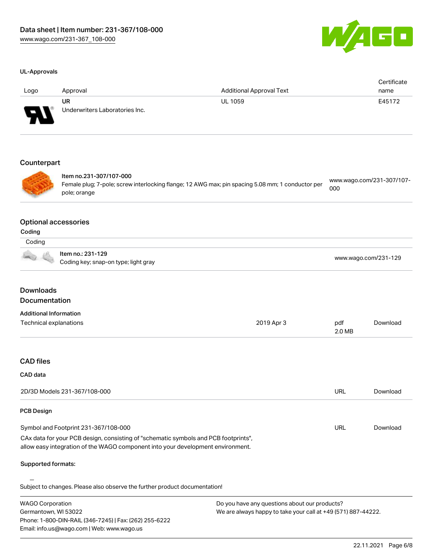

#### UL-Approvals

| Logo        | Approval                                                                                                                                    | <b>Additional Approval Text</b> | Certificate<br>name              |
|-------------|---------------------------------------------------------------------------------------------------------------------------------------------|---------------------------------|----------------------------------|
|             | <b>UR</b><br>Underwriters Laboratories Inc.                                                                                                 | <b>UL 1059</b>                  | E45172                           |
| Counterpart |                                                                                                                                             |                                 |                                  |
|             | Item no.231-307/107-000<br>Female plug; 7-pole; screw interlocking flange; 12 AWG max; pin spacing 5.08 mm; 1 conductor per<br>pole; orange |                                 | www.wago.com/231-307/107-<br>000 |

#### Optional accessories

| ш | ır |
|---|----|

## Coding

| <b>OUUIN</b> |                                                           |                      |
|--------------|-----------------------------------------------------------|----------------------|
|              | ltem no.: 231-129<br>Coding key; snap-on type; light gray | www.wago.com/231-129 |

## Downloads Documentation

Phone: 1-800-DIN-RAIL (346-7245) | Fax: (262) 255-6222

Email: info.us@wago.com | Web: www.wago.us

| <b>Additional Information</b>                                                                                                                                          |                                                               |               |          |
|------------------------------------------------------------------------------------------------------------------------------------------------------------------------|---------------------------------------------------------------|---------------|----------|
| Technical explanations                                                                                                                                                 | 2019 Apr 3                                                    | pdf<br>2.0 MB | Download |
|                                                                                                                                                                        |                                                               |               |          |
| <b>CAD files</b>                                                                                                                                                       |                                                               |               |          |
| <b>CAD</b> data                                                                                                                                                        |                                                               |               |          |
| 2D/3D Models 231-367/108-000                                                                                                                                           |                                                               | <b>URL</b>    | Download |
| <b>PCB Design</b>                                                                                                                                                      |                                                               |               |          |
| Symbol and Footprint 231-367/108-000                                                                                                                                   |                                                               | URL           | Download |
| CAx data for your PCB design, consisting of "schematic symbols and PCB footprints",<br>allow easy integration of the WAGO component into your development environment. |                                                               |               |          |
| <b>Supported formats:</b>                                                                                                                                              |                                                               |               |          |
| Subject to changes. Please also observe the further product documentation!                                                                                             |                                                               |               |          |
| <b>WAGO Corporation</b>                                                                                                                                                | Do you have any questions about our products?                 |               |          |
| Germantown, WI 53022                                                                                                                                                   | We are always happy to take your call at +49 (571) 887-44222. |               |          |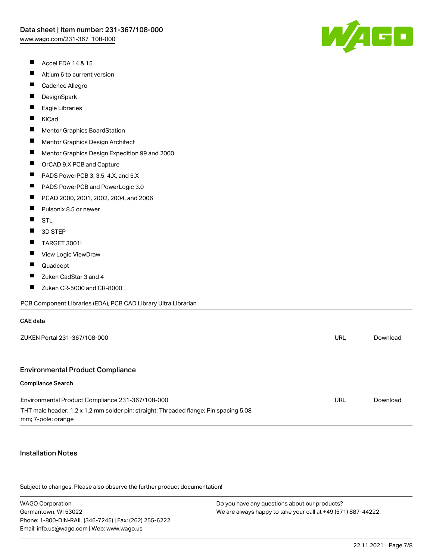- $\blacksquare$ Accel EDA 14 & 15
- $\blacksquare$ Altium 6 to current version
- $\blacksquare$ Cadence Allegro
- $\blacksquare$ **DesignSpark**
- П Eagle Libraries
- $\blacksquare$ KiCad
- $\blacksquare$ Mentor Graphics BoardStation
- $\blacksquare$ Mentor Graphics Design Architect
- $\blacksquare$ Mentor Graphics Design Expedition 99 and 2000
- $\blacksquare$ OrCAD 9.X PCB and Capture
- $\blacksquare$ PADS PowerPCB 3, 3.5, 4.X, and 5.X
- $\blacksquare$ PADS PowerPCB and PowerLogic 3.0
- $\blacksquare$ PCAD 2000, 2001, 2002, 2004, and 2006
- $\blacksquare$ Pulsonix 8.5 or newer
- $\blacksquare$ **STL**
- $\blacksquare$ 3D STEP
- $\blacksquare$ TARGET 3001!
- $\blacksquare$ View Logic ViewDraw
- $\blacksquare$ Quadcept
- $\blacksquare$ Zuken CadStar 3 and 4
- $\blacksquare$ Zuken CR-5000 and CR-8000

PCB Component Libraries (EDA), PCB CAD Library Ultra Librarian

| ZUKEN Portal 231-367/108-000 |  |  |
|------------------------------|--|--|

#### Environmental Product Compliance

#### Compliance Search

CAE data

| Environmental Product Compliance 231-367/108-000                                      | URL | Download |
|---------------------------------------------------------------------------------------|-----|----------|
| THT male header; 1.2 x 1.2 mm solder pin; straight; Threaded flange; Pin spacing 5.08 |     |          |
| mm; 7-pole; orange                                                                    |     |          |

#### Installation Notes

Subject to changes. Please also observe the further product documentation!

WAGO Corporation Germantown, WI 53022 Phone: 1-800-DIN-RAIL (346-7245) | Fax: (262) 255-6222 Email: info.us@wago.com | Web: www.wago.us